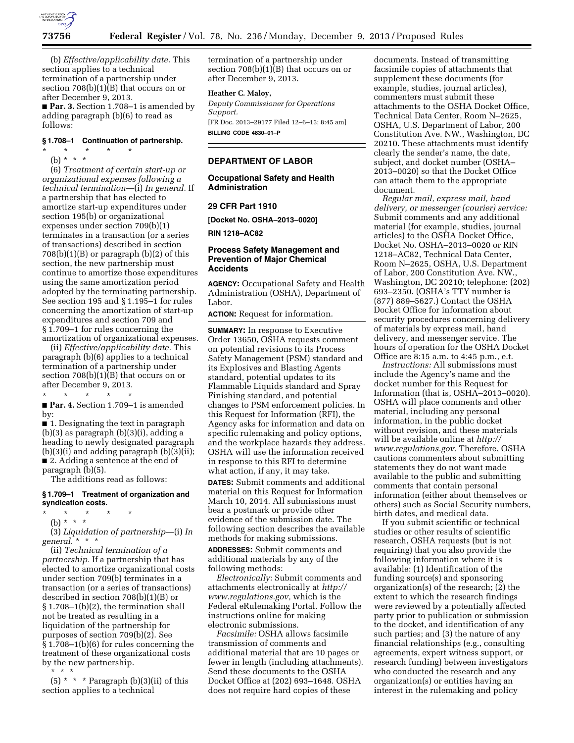

(b) *Effective/applicability date.* This section applies to a technical termination of a partnership under section 708(b)(1)(B) that occurs on or after December 9, 2013. ■ **Par. 3.** Section 1.708–1 is amended by

adding paragraph (b)(6) to read as follows:

#### **§ 1.708–1 Continuation of partnership.**

\* \* \* \* \* (b) \* \* \*

(6) *Treatment of certain start-up or organizational expenses following a technical termination*—(i) *In general.* If a partnership that has elected to amortize start-up expenditures under section 195(b) or organizational expenses under section 709(b)(1) terminates in a transaction (or a series of transactions) described in section  $708(b)(1)(B)$  or paragraph  $(b)(2)$  of this section, the new partnership must continue to amortize those expenditures using the same amortization period adopted by the terminating partnership. See section 195 and § 1.195–1 for rules concerning the amortization of start-up expenditures and section 709 and § 1.709–1 for rules concerning the amortization of organizational expenses.

(ii) *Effective/applicability date.* This paragraph (b)(6) applies to a technical termination of a partnership under section 708(b)(1)(B) that occurs on or after December 9, 2013.

\* \* \* \* \*

■ **Par. 4.** Section 1.709–1 is amended by:

■ 1. Designating the text in paragraph (b)(3) as paragraph (b)(3)(i), adding a heading to newly designated paragraph (b)(3)(i) and adding paragraph (b)(3)(ii); ■ 2. Adding a sentence at the end of paragraph (b)(5).

The additions read as follows:

## **§ 1.709–1 Treatment of organization and syndication costs.**

\* \* \* \* \*

(b) \* \* \*

(3) *Liquidation of partnership*—(i) *In general.* \* \* \*

(ii) *Technical termination of a partnership.* If a partnership that has elected to amortize organizational costs under section 709(b) terminates in a transaction (or a series of transactions) described in section 708(b)(1)(B) or § 1.708–1(b)(2), the termination shall not be treated as resulting in a liquidation of the partnership for purposes of section 709(b)(2). See § 1.708–1(b)(6) for rules concerning the treatment of these organizational costs by the new partnership.

\* \* \*

 $(5)$  \* \* \* Paragraph (b)(3)(ii) of this section applies to a technical

termination of a partnership under section 708(b)(1)(B) that occurs on or after December 9, 2013.

## **Heather C. Maloy,**

*Deputy Commissioner for Operations Support.*  [FR Doc. 2013–29177 Filed 12–6–13; 8:45 am] **BILLING CODE 4830–01–P** 

## **DEPARTMENT OF LABOR**

**Occupational Safety and Health Administration** 

## **29 CFR Part 1910**

**[Docket No. OSHA–2013–0020]** 

**RIN 1218–AC82** 

#### **Process Safety Management and Prevention of Major Chemical Accidents**

**AGENCY:** Occupational Safety and Health Administration (OSHA), Department of Labor.

**ACTION:** Request for information.

**SUMMARY:** In response to Executive Order 13650, OSHA requests comment on potential revisions to its Process Safety Management (PSM) standard and its Explosives and Blasting Agents standard, potential updates to its Flammable Liquids standard and Spray Finishing standard, and potential changes to PSM enforcement policies. In this Request for Information (RFI), the Agency asks for information and data on specific rulemaking and policy options, and the workplace hazards they address. OSHA will use the information received in response to this RFI to determine what action, if any, it may take.

**DATES:** Submit comments and additional material on this Request for Information March 10, 2014. All submissions must bear a postmark or provide other evidence of the submission date. The following section describes the available methods for making submissions.

**ADDRESSES:** Submit comments and additional materials by any of the following methods:

*Electronically:* Submit comments and attachments electronically at *[http://](http://www.regulations.gov)  [www.regulations.gov,](http://www.regulations.gov)* which is the Federal eRulemaking Portal. Follow the instructions online for making electronic submissions.

*Facsimile:* OSHA allows facsimile transmission of comments and additional material that are 10 pages or fewer in length (including attachments). Send these documents to the OSHA Docket Office at (202) 693–1648. OSHA does not require hard copies of these

documents. Instead of transmitting facsimile copies of attachments that supplement these documents (for example, studies, journal articles), commenters must submit these attachments to the OSHA Docket Office, Technical Data Center, Room N–2625, OSHA, U.S. Department of Labor, 200 Constitution Ave. NW., Washington, DC 20210. These attachments must identify clearly the sender's name, the date, subject, and docket number (OSHA– 2013–0020) so that the Docket Office can attach them to the appropriate document.

*Regular mail, express mail, hand delivery, or messenger (courier) service:*  Submit comments and any additional material (for example, studies, journal articles) to the OSHA Docket Office, Docket No. OSHA–2013–0020 or RIN 1218–AC82, Technical Data Center, Room N–2625, OSHA, U.S. Department of Labor, 200 Constitution Ave. NW., Washington, DC 20210; telephone: (202) 693–2350. (OSHA's TTY number is (877) 889–5627.) Contact the OSHA Docket Office for information about security procedures concerning delivery of materials by express mail, hand delivery, and messenger service. The hours of operation for the OSHA Docket Office are 8:15 a.m. to 4:45 p.m., e.t.

*Instructions:* All submissions must include the Agency's name and the docket number for this Request for Information (that is, OSHA–2013–0020). OSHA will place comments and other material, including any personal information, in the public docket without revision, and these materials will be available online at *[http://](http://www.regulations.gov)  [www.regulations.gov.](http://www.regulations.gov)* Therefore, OSHA cautions commenters about submitting statements they do not want made available to the public and submitting comments that contain personal information (either about themselves or others) such as Social Security numbers, birth dates, and medical data.

If you submit scientific or technical studies or other results of scientific research, OSHA requests (but is not requiring) that you also provide the following information where it is available: (1) Identification of the funding source(s) and sponsoring organization(s) of the research; (2) the extent to which the research findings were reviewed by a potentially affected party prior to publication or submission to the docket, and identification of any such parties; and (3) the nature of any financial relationships (e.g., consulting agreements, expert witness support, or research funding) between investigators who conducted the research and any organization(s) or entities having an interest in the rulemaking and policy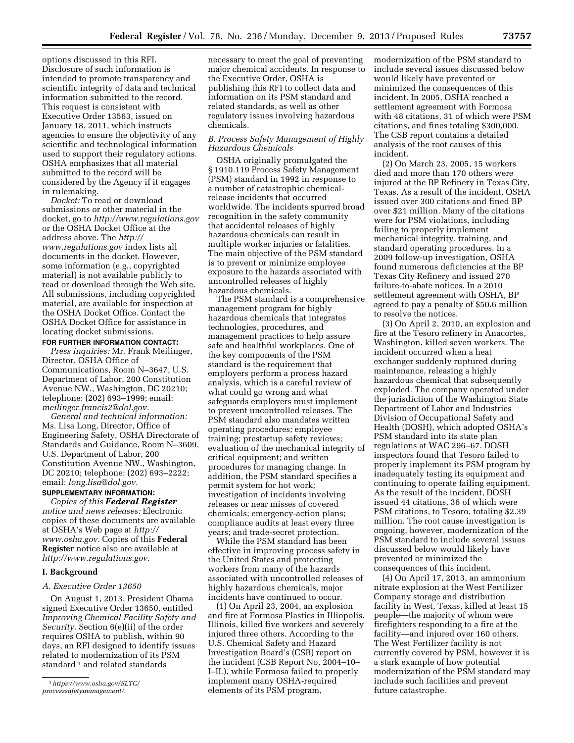options discussed in this RFI. Disclosure of such information is intended to promote transparency and scientific integrity of data and technical information submitted to the record. This request is consistent with Executive Order 13563, issued on January 18, 2011, which instructs agencies to ensure the objectivity of any scientific and technological information used to support their regulatory actions. OSHA emphasizes that all material submitted to the record will be considered by the Agency if it engages in rulemaking.

*Docket:* To read or download submissions or other material in the docket, go to *<http://www.regulations.gov>*  or the OSHA Docket Office at the address above. The *[http://](http://www.regulations.gov)  [www.regulations.gov](http://www.regulations.gov)* index lists all documents in the docket. However, some information (e.g., copyrighted material) is not available publicly to read or download through the Web site. All submissions, including copyrighted material, are available for inspection at the OSHA Docket Office. Contact the OSHA Docket Office for assistance in locating docket submissions.

## **FOR FURTHER INFORMATION CONTACT:**

*Press inquiries:* Mr. Frank Meilinger, Director, OSHA Office of Communications, Room N–3647, U.S. Department of Labor, 200 Constitution Avenue NW., Washington, DC 20210; telephone: (202) 693–1999; email: *[meilinger.francis2@dol.gov.](mailto:meilinger.francis2@dol.gov)* 

*General and technical information:*  Ms. Lisa Long, Director, Office of Engineering Safety, OSHA Directorate of Standards and Guidance, Room N–3609, U.S. Department of Labor, 200 Constitution Avenue NW., Washington, DC 20210; telephone: (202) 693–2222; email: *[long.lisa@dol.gov.](mailto:long.lisa@dol.gov)* 

## **SUPPLEMENTARY INFORMATION:**

*Copies of this Federal Register notice and news releases:* Electronic copies of these documents are available at OSHA's Web page at *[http://](http://www.osha.gov) [www.osha.gov.](http://www.osha.gov)* Copies of this **Federal Register** notice also are available at *[http://www.regulations.gov.](http://www.regulations.gov)* 

#### **I. Background**

### *A. Executive Order 13650*

On August 1, 2013, President Obama signed Executive Order 13650, entitled *Improving Chemical Facility Safety and Security.* Section 6(e)(ii) of the order requires OSHA to publish, within 90 days, an RFI designed to identify issues related to modernization of its PSM standard<sup>1</sup> and related standards

necessary to meet the goal of preventing major chemical accidents. In response to the Executive Order, OSHA is publishing this RFI to collect data and information on its PSM standard and related standards, as well as other regulatory issues involving hazardous chemicals.

## *B. Process Safety Management of Highly Hazardous Chemicals*

OSHA originally promulgated the § 1910.119 Process Safety Management (PSM) standard in 1992 in response to a number of catastrophic chemicalrelease incidents that occurred worldwide. The incidents spurred broad recognition in the safety community that accidental releases of highly hazardous chemicals can result in multiple worker injuries or fatalities. The main objective of the PSM standard is to prevent or minimize employee exposure to the hazards associated with uncontrolled releases of highly hazardous chemicals.

The PSM standard is a comprehensive management program for highly hazardous chemicals that integrates technologies, procedures, and management practices to help assure safe and healthful workplaces. One of the key components of the PSM standard is the requirement that employers perform a process hazard analysis, which is a careful review of what could go wrong and what safeguards employers must implement to prevent uncontrolled releases. The PSM standard also mandates written operating procedures; employee training; prestartup safety reviews; evaluation of the mechanical integrity of critical equipment; and written procedures for managing change. In addition, the PSM standard specifies a permit system for hot work; investigation of incidents involving releases or near misses of covered chemicals; emergency-action plans; compliance audits at least every three years; and trade-secret protection.

While the PSM standard has been effective in improving process safety in the United States and protecting workers from many of the hazards associated with uncontrolled releases of highly hazardous chemicals, major incidents have continued to occur.

(1) On April 23, 2004, an explosion and fire at Formosa Plastics in Illiopolis, Illinois, killed five workers and severely injured three others. According to the U.S. Chemical Safety and Hazard Investigation Board's (CSB) report on the incident (CSB Report No, 2004–10– I–IL), while Formosa failed to properly implement many OSHA-required elements of its PSM program,

modernization of the PSM standard to include several issues discussed below would likely have prevented or minimized the consequences of this incident. In 2005, OSHA reached a settlement agreement with Formosa with 48 citations, 31 of which were PSM citations, and fines totaling \$300,000. The CSB report contains a detailed analysis of the root causes of this incident.

(2) On March 23, 2005, 15 workers died and more than 170 others were injured at the BP Refinery in Texas City, Texas. As a result of the incident, OSHA issued over 300 citations and fined BP over \$21 million. Many of the citations were for PSM violations, including failing to properly implement mechanical integrity, training, and standard operating procedures. In a 2009 follow-up investigation, OSHA found numerous deficiencies at the BP Texas City Refinery and issued 270 failure-to-abate notices. In a 2010 settlement agreement with OSHA, BP agreed to pay a penalty of \$50.6 million to resolve the notices.

(3) On April 2, 2010, an explosion and fire at the Tesoro refinery in Anacortes, Washington, killed seven workers. The incident occurred when a heat exchanger suddenly ruptured during maintenance, releasing a highly hazardous chemical that subsequently exploded. The company operated under the jurisdiction of the Washington State Department of Labor and Industries Division of Occupational Safety and Health (DOSH), which adopted OSHA's PSM standard into its state plan regulations at WAC 296–67. DOSH inspectors found that Tesoro failed to properly implement its PSM program by inadequately testing its equipment and continuing to operate failing equipment. As the result of the incident, DOSH issued 44 citations, 36 of which were PSM citations, to Tesoro, totaling \$2.39 million. The root cause investigation is ongoing, however, modernization of the PSM standard to include several issues discussed below would likely have prevented or minimized the consequences of this incident.

(4) On April 17, 2013, an ammonium nitrate explosion at the West Fertilizer Company storage and distribution facility in West, Texas, killed at least 15 people—the majority of whom were firefighters responding to a fire at the facility—and injured over 160 others. The West Fertilizer facility is not currently covered by PSM, however it is a stark example of how potential modernization of the PSM standard may include such facilities and prevent future catastrophe.

<sup>1</sup>*[https://www.osha.gov/SLTC/](https://www.osha.gov/SLTC/processsafetymanagement/)  [processsafetymanagement/.](https://www.osha.gov/SLTC/processsafetymanagement/)*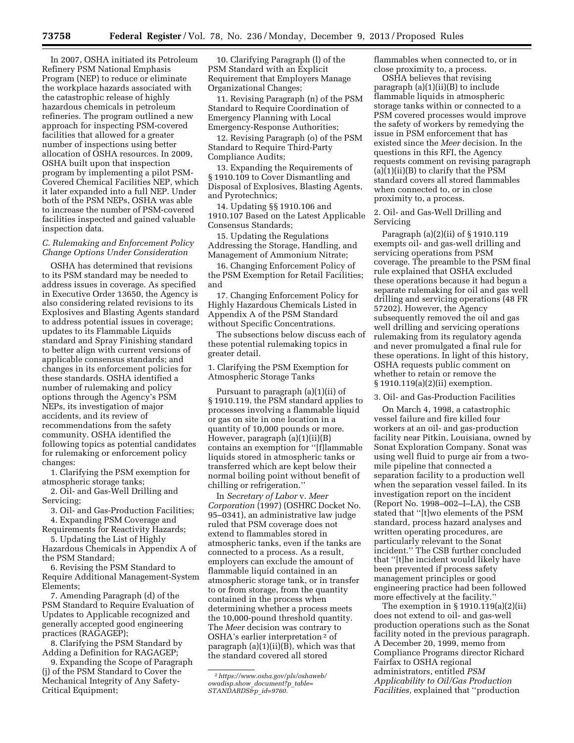In 2007, OSHA initiated its Petroleum Refinery PSM National Emphasis Program (NEP) to reduce or eliminate the workplace hazards associated with the catastrophic release of highly hazardous chemicals in petroleum refineries. The program outlined a new approach for inspecting PSM-covered facilities that allowed for a greater number of inspections using better allocation of OSHA resources. In 2009, OSHA built upon that inspection program by implementing a pilot PSM-Covered Chemical Facilities NEP, which it later expanded into a full NEP. Under both of the PSM NEPs, OSHA was able to increase the number of PSM-covered facilities inspected and gained valuable inspection data.

## *C. Rulemaking and Enforcement Policy Change Options Under Consideration*

OSHA has determined that revisions to its PSM standard may be needed to address issues in coverage. As specified in Executive Order 13650, the Agency is also considering related revisions to its Explosives and Blasting Agents standard to address potential issues in coverage; updates to its Flammable Liquids standard and Spray Finishing standard to better align with current versions of applicable consensus standards; and changes in its enforcement policies for these standards. OSHA identified a number of rulemaking and policy options through the Agency's PSM NEPs, its investigation of major accidents, and its review of recommendations from the safety community. OSHA identified the following topics as potential candidates for rulemaking or enforcement policy changes:

1. Clarifying the PSM exemption for atmospheric storage tanks;

2. Oil- and Gas-Well Drilling and Servicing;

3. Oil- and Gas-Production Facilities;

4. Expanding PSM Coverage and Requirements for Reactivity Hazards;

5. Updating the List of Highly Hazardous Chemicals in Appendix A of the PSM Standard;

6. Revising the PSM Standard to Require Additional Management-System Elements;

7. Amending Paragraph (d) of the PSM Standard to Require Evaluation of Updates to Applicable recognized and generally accepted good engineering practices (RAGAGEP);

8. Clarifying the PSM Standard by Adding a Definition for RAGAGEP;

9. Expanding the Scope of Paragraph (j) of the PSM Standard to Cover the Mechanical Integrity of Any Safety-Critical Equipment;

10. Clarifying Paragraph (l) of the PSM Standard with an Explicit Requirement that Employers Manage Organizational Changes;

11. Revising Paragraph (n) of the PSM Standard to Require Coordination of Emergency Planning with Local Emergency-Response Authorities;

12. Revising Paragraph (o) of the PSM Standard to Require Third-Party Compliance Audits;

13. Expanding the Requirements of § 1910.109 to Cover Dismantling and Disposal of Explosives, Blasting Agents, and Pyrotechnics;

14. Updating §§ 1910.106 and 1910.107 Based on the Latest Applicable Consensus Standards;

15. Updating the Regulations Addressing the Storage, Handling, and Management of Ammonium Nitrate;

16. Changing Enforcement Policy of the PSM Exemption for Retail Facilities; and

17. Changing Enforcement Policy for Highly Hazardous Chemicals Listed in Appendix A of the PSM Standard without Specific Concentrations.

The subsections below discuss each of these potential rulemaking topics in greater detail.

1. Clarifying the PSM Exemption for Atmospheric Storage Tanks

Pursuant to paragraph (a)(1)(ii) of § 1910.119, the PSM standard applies to processes involving a flammable liquid or gas on site in one location in a quantity of 10,000 pounds or more. However, paragraph (a)(1)(ii)(B) contains an exemption for ''[f]lammable liquids stored in atmospheric tanks or transferred which are kept below their normal boiling point without benefit of chilling or refrigeration.''

In *Secretary of Labor* v. *Meer Corporation* (1997) (OSHRC Docket No. 95–0341), an administrative law judge ruled that PSM coverage does not extend to flammables stored in atmospheric tanks, even if the tanks are connected to a process. As a result, employers can exclude the amount of flammable liquid contained in an atmospheric storage tank, or in transfer to or from storage, from the quantity contained in the process when determining whether a process meets the 10,000-pound threshold quantity. The *Meer* decision was contrary to OSHA's earlier interpretation 2 of paragraph (a)(1)(ii)(B), which was that the standard covered all stored

flammables when connected to, or in close proximity to, a process.

OSHA believes that revising paragraph (a)(1)(ii)(B) to include flammable liquids in atmospheric storage tanks within or connected to a PSM covered processes would improve the safety of workers by remedying the issue in PSM enforcement that has existed since the *Meer* decision. In the questions in this RFI, the Agency requests comment on revising paragraph  $(a)(1)(ii)(B)$  to clarify that the PSM standard covers all stored flammables when connected to, or in close proximity to, a process.

2. Oil- and Gas-Well Drilling and Servicing

Paragraph (a)(2)(ii) of § 1910.119 exempts oil- and gas-well drilling and servicing operations from PSM coverage. The preamble to the PSM final rule explained that OSHA excluded these operations because it had begun a separate rulemaking for oil and gas well drilling and servicing operations (48 FR 57202). However, the Agency subsequently removed the oil and gas well drilling and servicing operations rulemaking from its regulatory agenda and never promulgated a final rule for these operations. In light of this history, OSHA requests public comment on whether to retain or remove the § 1910.119(a)(2)(ii) exemption.

3. Oil- and Gas-Production Facilities

On March 4, 1998, a catastrophic vessel failure and fire killed four workers at an oil- and gas-production facility near Pitkin, Louisiana, owned by Sonat Exploration Company. Sonat was using well fluid to purge air from a twomile pipeline that connected a separation facility to a production well when the separation vessel failed. In its investigation report on the incident (Report No. 1998–002–I–LA), the CSB stated that ''[t]wo elements of the PSM standard, process hazard analyses and written operating procedures, are particularly relevant to the Sonat incident.'' The CSB further concluded that ''[t]he incident would likely have been prevented if process safety management principles or good engineering practice had been followed more effectively at the facility.''

The exemption in § 1910.119(a)(2)(ii) does not extend to oil- and gas-well production operations such as the Sonat facility noted in the previous paragraph. A December 20, 1999, memo from Compliance Programs director Richard Fairfax to OSHA regional administrators, entitled *PSM Applicability to Oil/Gas Production Facilities,* explained that ''production

<sup>2</sup>*[https://www.osha.gov/pls/oshaweb/](https://www.osha.gov/pls/oshaweb/owadisp.show_document?p_table=STANDARDS&p_id=9760)  [owadisp.show](https://www.osha.gov/pls/oshaweb/owadisp.show_document?p_table=STANDARDS&p_id=9760)*\_*document?p*\_*table= [STANDARDS&p](https://www.osha.gov/pls/oshaweb/owadisp.show_document?p_table=STANDARDS&p_id=9760)*\_*id=9760.*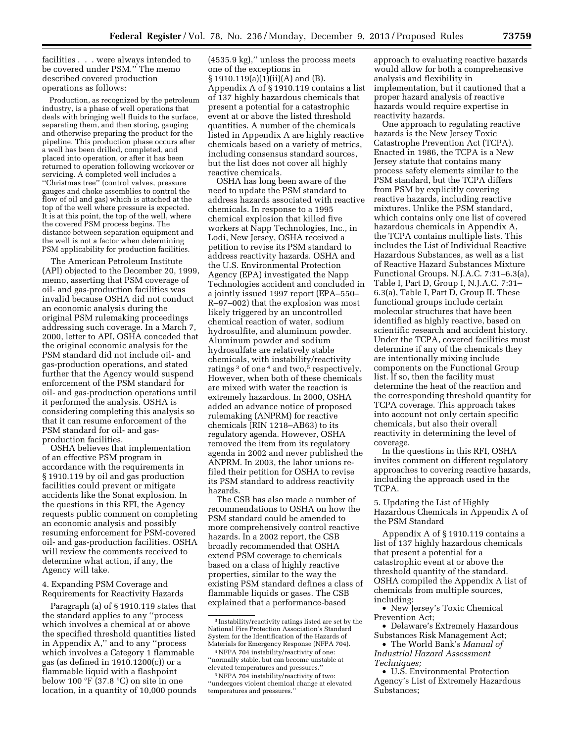facilities . . . were always intended to be covered under PSM.'' The memo described covered production operations as follows:

Production, as recognized by the petroleum industry, is a phase of well operations that deals with bringing well fluids to the surface, separating them, and then storing, gauging and otherwise preparing the product for the pipeline. This production phase occurs after a well has been drilled, completed, and placed into operation, or after it has been returned to operation following workover or servicing. A completed well includes a ''Christmas tree'' (control valves, pressure gauges and choke assemblies to control the flow of oil and gas) which is attached at the top of the well where pressure is expected. It is at this point, the top of the well, where the covered PSM process begins. The distance between separation equipment and the well is not a factor when determining PSM applicability for production facilities.

The American Petroleum Institute (API) objected to the December 20, 1999, memo, asserting that PSM coverage of oil- and gas-production facilities was invalid because OSHA did not conduct an economic analysis during the original PSM rulemaking proceedings addressing such coverage. In a March 7, 2000, letter to API, OSHA conceded that the original economic analysis for the PSM standard did not include oil- and gas-production operations, and stated further that the Agency would suspend enforcement of the PSM standard for oil- and gas-production operations until it performed the analysis. OSHA is considering completing this analysis so that it can resume enforcement of the PSM standard for oil- and gasproduction facilities.

OSHA believes that implementation of an effective PSM program in accordance with the requirements in § 1910.119 by oil and gas production facilities could prevent or mitigate accidents like the Sonat explosion. In the questions in this RFI, the Agency requests public comment on completing an economic analysis and possibly resuming enforcement for PSM-covered oil- and gas-production facilities. OSHA will review the comments received to determine what action, if any, the Agency will take.

4. Expanding PSM Coverage and Requirements for Reactivity Hazards

Paragraph (a) of § 1910.119 states that the standard applies to any ''process which involves a chemical at or above the specified threshold quantities listed in Appendix A,'' and to any ''process which involves a Category 1 flammable gas (as defined in 1910.1200(c)) or a flammable liquid with a flashpoint below 100  $\overline{F}$  (37.8  $\overline{C}$ ) on site in one location, in a quantity of 10,000 pounds

(4535.9 kg),'' unless the process meets one of the exceptions in § 1910.119(a)(1)(ii)(A) and (B). Appendix A of § 1910.119 contains a list of 137 highly hazardous chemicals that present a potential for a catastrophic event at or above the listed threshold quantities. A number of the chemicals listed in Appendix A are highly reactive chemicals based on a variety of metrics, including consensus standard sources, but the list does not cover all highly reactive chemicals.

OSHA has long been aware of the need to update the PSM standard to address hazards associated with reactive chemicals. In response to a 1995 chemical explosion that killed five workers at Napp Technologies, Inc., in Lodi, New Jersey, OSHA received a petition to revise its PSM standard to address reactivity hazards. OSHA and the U.S. Environmental Protection Agency (EPA) investigated the Napp Technologies accident and concluded in a jointly issued 1997 report (EPA–550– R–97–002) that the explosion was most likely triggered by an uncontrolled chemical reaction of water, sodium hydrosulfite, and aluminum powder. Aluminum powder and sodium hydrosulfate are relatively stable chemicals, with instability/reactivity ratings  $3$  of one  $4$  and two,<sup>5</sup> respectively. However, when both of these chemicals are mixed with water the reaction is extremely hazardous. In 2000, OSHA added an advance notice of proposed rulemaking (ANPRM) for reactive chemicals (RIN 1218–AB63) to its regulatory agenda. However, OSHA removed the item from its regulatory agenda in 2002 and never published the ANPRM. In 2003, the labor unions refiled their petition for OSHA to revise its PSM standard to address reactivity hazards.

The CSB has also made a number of recommendations to OSHA on how the PSM standard could be amended to more comprehensively control reactive hazards. In a 2002 report, the CSB broadly recommended that OSHA extend PSM coverage to chemicals based on a class of highly reactive properties, similar to the way the existing PSM standard defines a class of flammable liquids or gases. The CSB explained that a performance-based

approach to evaluating reactive hazards would allow for both a comprehensive analysis and flexibility in implementation, but it cautioned that a proper hazard analysis of reactive hazards would require expertise in reactivity hazards.

One approach to regulating reactive hazards is the New Jersey Toxic Catastrophe Prevention Act (TCPA). Enacted in 1986, the TCPA is a New Jersey statute that contains many process safety elements similar to the PSM standard, but the TCPA differs from PSM by explicitly covering reactive hazards, including reactive mixtures. Unlike the PSM standard, which contains only one list of covered hazardous chemicals in Appendix A, the TCPA contains multiple lists. This includes the List of Individual Reactive Hazardous Substances, as well as a list of Reactive Hazard Substances Mixture Functional Groups. N.J.A.C. 7:31–6.3(a), Table I, Part D, Group I, N.J.A.C. 7:31– 6.3(a), Table I, Part D, Group II. These functional groups include certain molecular structures that have been identified as highly reactive, based on scientific research and accident history. Under the TCPA, covered facilities must determine if any of the chemicals they are intentionally mixing include components on the Functional Group list. If so, then the facility must determine the heat of the reaction and the corresponding threshold quantity for TCPA coverage. This approach takes into account not only certain specific chemicals, but also their overall reactivity in determining the level of coverage.

In the questions in this RFI, OSHA invites comment on different regulatory approaches to covering reactive hazards, including the approach used in the TCPA.

5. Updating the List of Highly Hazardous Chemicals in Appendix A of the PSM Standard

Appendix A of § 1910.119 contains a list of 137 highly hazardous chemicals that present a potential for a catastrophic event at or above the threshold quantity of the standard. OSHA compiled the Appendix A list of chemicals from multiple sources, including:

• New Jersey's Toxic Chemical Prevention Act;

• The World Bank's *Manual of Industrial Hazard Assessment Techniques;* 

• U.S. Environmental Protection Agency's List of Extremely Hazardous Substances;

<sup>3</sup> Instability/reactivity ratings listed are set by the National Fire Protection Association's Standard System for the Identification of the Hazards of Materials for Emergency Response (NFPA 704).

<sup>4</sup>NFPA 704 instability/reactivity of one: ''normally stable, but can become unstable at elevated temperatures and pressures.''

<sup>5</sup>NFPA 704 instability/reactivity of two: ''undergoes violent chemical change at elevated temperatures and pressures.''

<sup>•</sup> Delaware's Extremely Hazardous Substances Risk Management Act;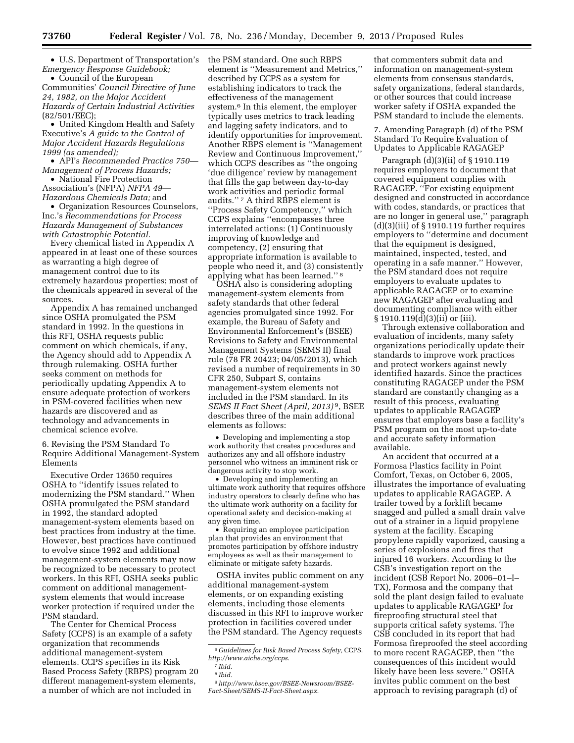• U.S. Department of Transportation's *Emergency Response Guidebook;* 

• Council of the European Communities' *Council Directive of June 24, 1982, on the Major Accident Hazards of Certain Industrial Activities*  (82/501/EEC);

• United Kingdom Health and Safety Executive's *A guide to the Control of Major Accident Hazards Regulations 1999 (as amended);* 

• API's *Recommended Practice 750— Management of Process Hazards;* 

• National Fire Protection Association's (NFPA) *NFPA 49— Hazardous Chemicals Data;* and

• Organization Resources Counselors, Inc.'s *Recommendations for Process Hazards Management of Substances with Catastrophic Potential.* 

Every chemical listed in Appendix A appeared in at least one of these sources as warranting a high degree of management control due to its extremely hazardous properties; most of the chemicals appeared in several of the sources.

Appendix A has remained unchanged since OSHA promulgated the PSM standard in 1992. In the questions in this RFI, OSHA requests public comment on which chemicals, if any, the Agency should add to Appendix A through rulemaking. OSHA further seeks comment on methods for periodically updating Appendix A to ensure adequate protection of workers in PSM-covered facilities when new hazards are discovered and as technology and advancements in chemical science evolve.

6. Revising the PSM Standard To Require Additional Management-System Elements

Executive Order 13650 requires OSHA to ''identify issues related to modernizing the PSM standard.'' When OSHA promulgated the PSM standard in 1992, the standard adopted management-system elements based on best practices from industry at the time. However, best practices have continued to evolve since 1992 and additional management-system elements may now be recognized to be necessary to protect workers. In this RFI, OSHA seeks public comment on additional managementsystem elements that would increase worker protection if required under the PSM standard.

The Center for Chemical Process Safety (CCPS) is an example of a safety organization that recommends additional management-system elements. CCPS specifies in its Risk Based Process Safety (RBPS) program 20 different management-system elements, a number of which are not included in

the PSM standard. One such RBPS element is ''Measurement and Metrics,'' described by CCPS as a system for establishing indicators to track the effectiveness of the management system.6 In this element, the employer typically uses metrics to track leading and lagging safety indicators, and to identify opportunities for improvement. Another RBPS element is ''Management Review and Continuous Improvement,'' which CCPS describes as "the ongoing" 'due diligence' review by management that fills the gap between day-to-day work activities and periodic formal audits."<sup>7</sup> A third RBPS element is ''Process Safety Competency,'' which CCPS explains ''encompasses three interrelated actions: (1) Continuously improving of knowledge and competency, (2) ensuring that appropriate information is available to people who need it, and (3) consistently applying what has been learned.'' 8

OSHA also is considering adopting management-system elements from safety standards that other federal agencies promulgated since 1992. For example, the Bureau of Safety and Environmental Enforcement's (BSEE) Revisions to Safety and Environmental Management Systems (SEMS II) final rule (78 FR 20423; 04/05/2013), which revised a number of requirements in 30 CFR 250, Subpart S, contains management-system elements not included in the PSM standard. In its *SEMS II Fact Sheet (April, 2013)* 9, BSEE describes three of the main additional elements as follows:

• Developing and implementing a stop work authority that creates procedures and authorizes any and all offshore industry personnel who witness an imminent risk or dangerous activity to stop work.

• Developing and implementing an ultimate work authority that requires offshore industry operators to clearly define who has the ultimate work authority on a facility for operational safety and decision-making at any given time.

• Requiring an employee participation plan that provides an environment that promotes participation by offshore industry employees as well as their management to eliminate or mitigate safety hazards.

OSHA invites public comment on any additional management-system elements, or on expanding existing elements, including those elements discussed in this RFI to improve worker protection in facilities covered under the PSM standard. The Agency requests

that commenters submit data and information on management-system elements from consensus standards, safety organizations, federal standards, or other sources that could increase worker safety if OSHA expanded the PSM standard to include the elements.

7. Amending Paragraph (d) of the PSM Standard To Require Evaluation of Updates to Applicable RAGAGEP

Paragraph (d)(3)(ii) of § 1910.119 requires employers to document that covered equipment complies with RAGAGEP. ''For existing equipment designed and constructed in accordance with codes, standards, or practices that are no longer in general use,'' paragraph  $(d)(3)(iii)$  of § 1910.119 further requires employers to ''determine and document that the equipment is designed, maintained, inspected, tested, and operating in a safe manner.'' However, the PSM standard does not require employers to evaluate updates to applicable RAGAGEP or to examine new RAGAGEP after evaluating and documenting compliance with either § 1910.119(d)(3)(ii) or (iii).

Through extensive collaboration and evaluation of incidents, many safety organizations periodically update their standards to improve work practices and protect workers against newly identified hazards. Since the practices constituting RAGAGEP under the PSM standard are constantly changing as a result of this process, evaluating updates to applicable RAGAGEP ensures that employers base a facility's PSM program on the most up-to-date and accurate safety information available.

An accident that occurred at a Formosa Plastics facility in Point Comfort, Texas, on October 6, 2005, illustrates the importance of evaluating updates to applicable RAGAGEP. A trailer towed by a forklift became snagged and pulled a small drain valve out of a strainer in a liquid propylene system at the facility. Escaping propylene rapidly vaporized, causing a series of explosions and fires that injured 16 workers. According to the CSB's investigation report on the incident (CSB Report No. 2006–01–I– TX), Formosa and the company that sold the plant design failed to evaluate updates to applicable RAGAGEP for fireproofing structural steel that supports critical safety systems. The CSB concluded in its report that had Formosa fireproofed the steel according to more recent RAGAGEP, then ''the consequences of this incident would likely have been less severe.'' OSHA invites public comment on the best approach to revising paragraph (d) of

<sup>6</sup> *Guidelines for Risk Based Process Safety,* CCPS. *<http://www.aiche.org/ccps>*.

<sup>7</sup> *Ibid.* 

<sup>8</sup> *Ibid.* 

<sup>9</sup>*[http://www.bsee.gov/BSEE-Newsroom/BSEE-](http://www.bsee.gov/BSEE-Newsroom/BSEE-Fact-Sheet/SEMS-II-Fact-Sheet.aspx)[Fact-Sheet/SEMS-II-Fact-Sheet.aspx](http://www.bsee.gov/BSEE-Newsroom/BSEE-Fact-Sheet/SEMS-II-Fact-Sheet.aspx)*.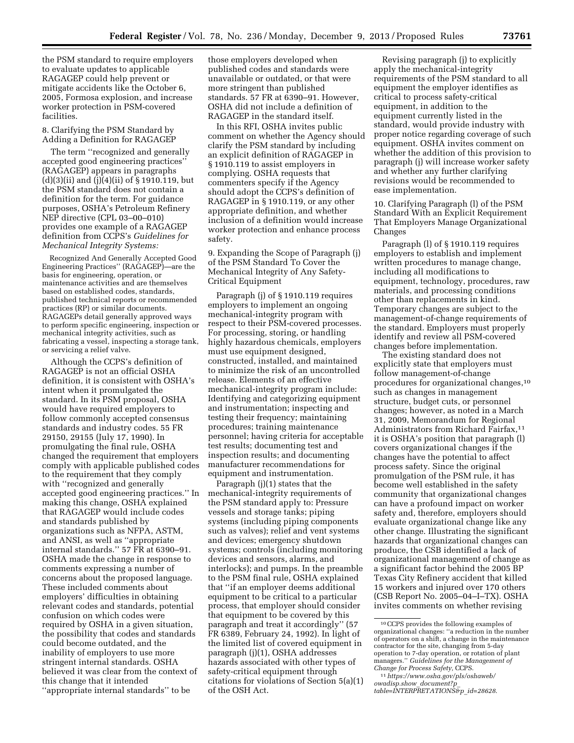the PSM standard to require employers to evaluate updates to applicable

RAGAGEP could help prevent or mitigate accidents like the October 6, 2005, Formosa explosion, and increase worker protection in PSM-covered facilities.

8. Clarifying the PSM Standard by Adding a Definition for RAGAGEP

The term ''recognized and generally accepted good engineering practices'' (RAGAGEP) appears in paragraphs  $(d)(3)(ii)$  and  $(j)(4)(ii)$  of § 1910.119, but the PSM standard does not contain a definition for the term. For guidance purposes, OSHA's Petroleum Refinery NEP directive (CPL 03–00–010) provides one example of a RAGAGEP definition from CCPS's *Guidelines for Mechanical Integrity Systems:* 

Recognized And Generally Accepted Good Engineering Practices'' (RAGAGEP)—are the basis for engineering, operation, or maintenance activities and are themselves based on established codes, standards, published technical reports or recommended practices (RP) or similar documents. RAGAGEPs detail generally approved ways to perform specific engineering, inspection or mechanical integrity activities, such as fabricating a vessel, inspecting a storage tank, or servicing a relief valve.

Although the CCPS's definition of RAGAGEP is not an official OSHA definition, it is consistent with OSHA's intent when it promulgated the standard. In its PSM proposal, OSHA would have required employers to follow commonly accepted consensus standards and industry codes. 55 FR 29150, 29155 (July 17, 1990). In promulgating the final rule, OSHA changed the requirement that employers comply with applicable published codes to the requirement that they comply with ''recognized and generally accepted good engineering practices.'' In making this change, OSHA explained that RAGAGEP would include codes and standards published by organizations such as NFPA, ASTM, and ANSI, as well as ''appropriate internal standards.'' 57 FR at 6390–91. OSHA made the change in response to comments expressing a number of concerns about the proposed language. These included comments about employers' difficulties in obtaining relevant codes and standards, potential confusion on which codes were required by OSHA in a given situation, the possibility that codes and standards could become outdated, and the inability of employers to use more stringent internal standards. OSHA believed it was clear from the context of this change that it intended ''appropriate internal standards'' to be

those employers developed when published codes and standards were unavailable or outdated, or that were more stringent than published standards. 57 FR at 6390–91. However, OSHA did not include a definition of RAGAGEP in the standard itself.

In this RFI, OSHA invites public comment on whether the Agency should clarify the PSM standard by including an explicit definition of RAGAGEP in § 1910.119 to assist employers in complying. OSHA requests that commenters specify if the Agency should adopt the CCPS's definition of RAGAGEP in § 1910.119, or any other appropriate definition, and whether inclusion of a definition would increase worker protection and enhance process safety.

9. Expanding the Scope of Paragraph (j) of the PSM Standard To Cover the Mechanical Integrity of Any Safety-Critical Equipment

Paragraph (j) of § 1910.119 requires employers to implement an ongoing mechanical-integrity program with respect to their PSM-covered processes. For processing, storing, or handling highly hazardous chemicals, employers must use equipment designed, constructed, installed, and maintained to minimize the risk of an uncontrolled release. Elements of an effective mechanical-integrity program include: Identifying and categorizing equipment and instrumentation; inspecting and testing their frequency; maintaining procedures; training maintenance personnel; having criteria for acceptable test results; documenting test and inspection results; and documenting manufacturer recommendations for equipment and instrumentation.

Paragraph (j)(1) states that the mechanical-integrity requirements of the PSM standard apply to: Pressure vessels and storage tanks; piping systems (including piping components such as valves); relief and vent systems and devices; emergency shutdown systems; controls (including monitoring devices and sensors, alarms, and interlocks); and pumps. In the preamble to the PSM final rule, OSHA explained that ''if an employer deems additional equipment to be critical to a particular process, that employer should consider that equipment to be covered by this paragraph and treat it accordingly'' (57 FR 6389, February 24, 1992). In light of the limited list of covered equipment in paragraph (j)(1), OSHA addresses hazards associated with other types of safety-critical equipment through citations for violations of Section 5(a)(1) of the OSH Act.

Revising paragraph (j) to explicitly apply the mechanical-integrity requirements of the PSM standard to all equipment the employer identifies as critical to process safety-critical equipment, in addition to the equipment currently listed in the standard, would provide industry with proper notice regarding coverage of such equipment. OSHA invites comment on whether the addition of this provision to paragraph (j) will increase worker safety and whether any further clarifying revisions would be recommended to ease implementation.

10. Clarifying Paragraph (l) of the PSM Standard With an Explicit Requirement That Employers Manage Organizational Changes

Paragraph (l) of § 1910.119 requires employers to establish and implement written procedures to manage change, including all modifications to equipment, technology, procedures, raw materials, and processing conditions other than replacements in kind. Temporary changes are subject to the management-of-change requirements of the standard. Employers must properly identify and review all PSM-covered changes before implementation.

The existing standard does not explicitly state that employers must follow management-of-change procedures for organizational changes,10 such as changes in management structure, budget cuts, or personnel changes; however, as noted in a March 31, 2009, Memorandum for Regional Administrators from Richard Fairfax,11 it is OSHA's position that paragraph (l) covers organizational changes if the changes have the potential to affect process safety. Since the original promulgation of the PSM rule, it has become well established in the safety community that organizational changes can have a profound impact on worker safety and, therefore, employers should evaluate organizational change like any other change. Illustrating the significant hazards that organizational changes can produce, the CSB identified a lack of organizational management of change as a significant factor behind the 2005 BP Texas City Refinery accident that killed 15 workers and injured over 170 others (CSB Report No. 2005–04–I–TX). OSHA invites comments on whether revising

<sup>10</sup>CCPS provides the following examples of organizational changes: ''a reduction in the number of operators on a shift, a change in the maintenance contractor for the site, changing from 5-day operation to 7-day operation, or rotation of plant managers.'' *Guidelines for the Management of* 

*Change for Process Safety,* CCPS. 11*[https://www.osha.gov/pls/oshaweb/](https://www.osha.gov/pls/oshaweb/owadisp.show_document?p_table=INTERPRETATIONS&p_id=28628) [owadisp.show](https://www.osha.gov/pls/oshaweb/owadisp.show_document?p_table=INTERPRETATIONS&p_id=28628)*\_*document?p*\_ *[table=INTERPRETATIONS&p](https://www.osha.gov/pls/oshaweb/owadisp.show_document?p_table=INTERPRETATIONS&p_id=28628)*\_*id=28628*.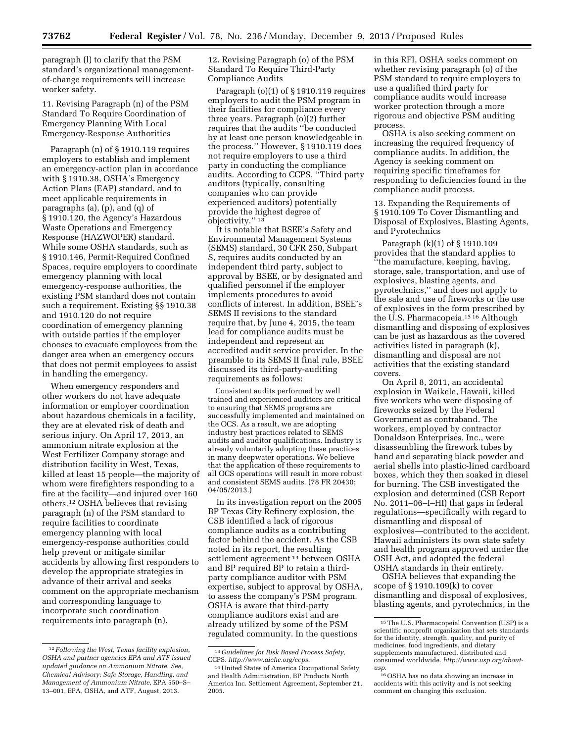paragraph (l) to clarify that the PSM standard's organizational managementof-change requirements will increase worker safety.

11. Revising Paragraph (n) of the PSM Standard To Require Coordination of Emergency Planning With Local Emergency-Response Authorities

Paragraph (n) of § 1910.119 requires employers to establish and implement an emergency-action plan in accordance with § 1910.38, OSHA's Emergency Action Plans (EAP) standard, and to meet applicable requirements in paragraphs (a), (p), and (q) of § 1910.120, the Agency's Hazardous Waste Operations and Emergency Response (HAZWOPER) standard. While some OSHA standards, such as § 1910.146, Permit-Required Confined Spaces, require employers to coordinate emergency planning with local emergency-response authorities, the existing PSM standard does not contain such a requirement. Existing §§ 1910.38 and 1910.120 do not require coordination of emergency planning with outside parties if the employer chooses to evacuate employees from the danger area when an emergency occurs that does not permit employees to assist in handling the emergency.

When emergency responders and other workers do not have adequate information or employer coordination about hazardous chemicals in a facility, they are at elevated risk of death and serious injury. On April 17, 2013, an ammonium nitrate explosion at the West Fertilizer Company storage and distribution facility in West, Texas, killed at least 15 people—the majority of whom were firefighters responding to a fire at the facility—and injured over 160 others.12 OSHA believes that revising paragraph (n) of the PSM standard to require facilities to coordinate emergency planning with local emergency-response authorities could help prevent or mitigate similar accidents by allowing first responders to develop the appropriate strategies in advance of their arrival and seeks comment on the appropriate mechanism and corresponding language to incorporate such coordination requirements into paragraph (n).

12. Revising Paragraph (o) of the PSM Standard To Require Third-Party Compliance Audits

Paragraph (o)(1) of § 1910.119 requires employers to audit the PSM program in their facilities for compliance every three years. Paragraph (o)(2) further requires that the audits ''be conducted by at least one person knowledgeable in the process.'' However, § 1910.119 does not require employers to use a third party in conducting the compliance audits. According to CCPS, ''Third party auditors (typically, consulting companies who can provide experienced auditors) potentially provide the highest degree of objectivity.'' 13

It is notable that BSEE's Safety and Environmental Management Systems (SEMS) standard, 30 CFR 250, Subpart S, requires audits conducted by an independent third party, subject to approval by BSEE, or by designated and qualified personnel if the employer implements procedures to avoid conflicts of interest. In addition, BSEE's SEMS II revisions to the standard require that, by June 4, 2015, the team lead for compliance audits must be independent and represent an accredited audit service provider. In the preamble to its SEMS II final rule, BSEE discussed its third-party-auditing requirements as follows:

Consistent audits performed by well trained and experienced auditors are critical to ensuring that SEMS programs are successfully implemented and maintained on the OCS. As a result, we are adopting industry best practices related to SEMS audits and auditor qualifications. Industry is already voluntarily adopting these practices in many deepwater operations. We believe that the application of these requirements to all OCS operations will result in more robust and consistent SEMS audits. (78 FR 20430; 04/05/2013.)

In its investigation report on the 2005 BP Texas City Refinery explosion, the CSB identified a lack of rigorous compliance audits as a contributing factor behind the accident. As the CSB noted in its report, the resulting settlement agreement 14 between OSHA and BP required BP to retain a thirdparty compliance auditor with PSM expertise, subject to approval by OSHA, to assess the company's PSM program. OSHA is aware that third-party compliance auditors exist and are already utilized by some of the PSM regulated community. In the questions

in this RFI, OSHA seeks comment on whether revising paragraph (o) of the PSM standard to require employers to use a qualified third party for compliance audits would increase worker protection through a more rigorous and objective PSM auditing process.

OSHA is also seeking comment on increasing the required frequency of compliance audits. In addition, the Agency is seeking comment on requiring specific timeframes for responding to deficiencies found in the compliance audit process.

13. Expanding the Requirements of § 1910.109 To Cover Dismantling and Disposal of Explosives, Blasting Agents, and Pyrotechnics

Paragraph (k)(1) of § 1910.109 provides that the standard applies to ''the manufacture, keeping, having, storage, sale, transportation, and use of explosives, blasting agents, and pyrotechnics,'' and does not apply to the sale and use of fireworks or the use of explosives in the form prescribed by the U.S. Pharmacopeia.15 16 Although dismantling and disposing of explosives can be just as hazardous as the covered activities listed in paragraph (k), dismantling and disposal are not activities that the existing standard covers.

On April 8, 2011, an accidental explosion in Waikele, Hawaii, killed five workers who were disposing of fireworks seized by the Federal Government as contraband. The workers, employed by contractor Donaldson Enterprises, Inc., were disassembling the firework tubes by hand and separating black powder and aerial shells into plastic-lined cardboard boxes, which they then soaked in diesel for burning. The CSB investigated the explosion and determined (CSB Report No. 2011–06–I–HI) that gaps in federal regulations—specifically with regard to dismantling and disposal of explosives—contributed to the accident. Hawaii administers its own state safety and health program approved under the OSH Act, and adopted the federal OSHA standards in their entirety.

OSHA believes that expanding the scope of § 1910.109(k) to cover dismantling and disposal of explosives, blasting agents, and pyrotechnics, in the

<sup>12</sup> *Following the West, Texas facility explosion, OSHA and partner agencies EPA and ATF issued updated guidance on Ammonium Nitrate. See, Chemical Advisory: Safe Storage, Handling, and Management of Ammonium Nitrate,* EPA 550–S– 13–001, EPA, OSHA, and ATF, August, 2013.

<sup>13</sup> *Guidelines for Risk Based Process Safety,*  CCPS. *<http://www.aiche.org/ccps>*.

<sup>14</sup>United States of America Occupational Safety and Health Administration, BP Products North America Inc. Settlement Agreement, September 21, 2005.

<sup>15</sup>The U.S. Pharmacopeial Convention (USP) is a scientific nonprofit organization that sets standards for the identity, strength, quality, and purity of medicines, food ingredients, and dietary supplements manufactured, distributed and consumed worldwide. *http://www.usp.org/aboutusp*.

<sup>16</sup>OSHA has no data showing an increase in accidents with this activity and is not seeking comment on changing this exclusion.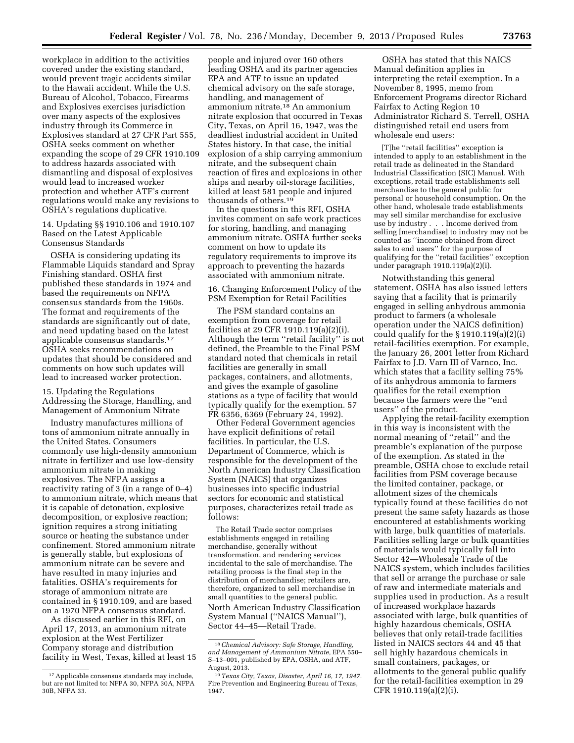workplace in addition to the activities covered under the existing standard, would prevent tragic accidents similar to the Hawaii accident. While the U.S. Bureau of Alcohol, Tobacco, Firearms and Explosives exercises jurisdiction over many aspects of the explosives industry through its Commerce in Explosives standard at 27 CFR Part 555, OSHA seeks comment on whether expanding the scope of 29 CFR 1910.109 to address hazards associated with dismantling and disposal of explosives would lead to increased worker protection and whether ATF's current regulations would make any revisions to OSHA's regulations duplicative.

14. Updating §§ 1910.106 and 1910.107 Based on the Latest Applicable Consensus Standards

OSHA is considering updating its Flammable Liquids standard and Spray Finishing standard. OSHA first published these standards in 1974 and based the requirements on NFPA consensus standards from the 1960s. The format and requirements of the standards are significantly out of date, and need updating based on the latest applicable consensus standards.17 OSHA seeks recommendations on updates that should be considered and comments on how such updates will lead to increased worker protection.

15. Updating the Regulations Addressing the Storage, Handling, and Management of Ammonium Nitrate

Industry manufactures millions of tons of ammonium nitrate annually in the United States. Consumers commonly use high-density ammonium nitrate in fertilizer and use low-density ammonium nitrate in making explosives. The NFPA assigns a reactivity rating of 3 (in a range of 0–4) to ammonium nitrate, which means that it is capable of detonation, explosive decomposition, or explosive reaction; ignition requires a strong initiating source or heating the substance under confinement. Stored ammonium nitrate is generally stable, but explosions of ammonium nitrate can be severe and have resulted in many injuries and fatalities. OSHA's requirements for storage of ammonium nitrate are contained in § 1910.109, and are based on a 1970 NFPA consensus standard.

As discussed earlier in this RFI, on April 17, 2013, an ammonium nitrate explosion at the West Fertilizer Company storage and distribution facility in West, Texas, killed at least 15

people and injured over 160 others leading OSHA and its partner agencies EPA and ATF to issue an updated chemical advisory on the safe storage, handling, and management of ammonium nitrate.18 An ammonium nitrate explosion that occurred in Texas City, Texas, on April 16, 1947, was the deadliest industrial accident in United States history. In that case, the initial explosion of a ship carrying ammonium nitrate, and the subsequent chain reaction of fires and explosions in other ships and nearby oil-storage facilities, killed at least 581 people and injured thousands of others.19

In the questions in this RFI, OSHA invites comment on safe work practices for storing, handling, and managing ammonium nitrate. OSHA further seeks comment on how to update its regulatory requirements to improve its approach to preventing the hazards associated with ammonium nitrate.

16. Changing Enforcement Policy of the PSM Exemption for Retail Facilities

The PSM standard contains an exemption from coverage for retail facilities at 29 CFR 1910.119(a)(2)(i). Although the term ''retail facility'' is not defined, the Preamble to the Final PSM standard noted that chemicals in retail facilities are generally in small packages, containers, and allotments, and gives the example of gasoline stations as a type of facility that would typically qualify for the exemption. 57 FR 6356, 6369 (February 24, 1992).

Other Federal Government agencies have explicit definitions of retail facilities. In particular, the U.S. Department of Commerce, which is responsible for the development of the North American Industry Classification System (NAICS) that organizes businesses into specific industrial sectors for economic and statistical purposes, characterizes retail trade as follows:

The Retail Trade sector comprises establishments engaged in retailing merchandise, generally without transformation, and rendering services incidental to the sale of merchandise. The retailing process is the final step in the distribution of merchandise; retailers are, therefore, organized to sell merchandise in small quantities to the general public. North American Industry Classification System Manual (''NAICS Manual''), Sector 44–45—Retail Trade.

OSHA has stated that this NAICS Manual definition applies in interpreting the retail exemption. In a November 8, 1995, memo from Enforcement Programs director Richard Fairfax to Acting Region 10 Administrator Richard S. Terrell, OSHA distinguished retail end users from wholesale end users:

[T]he ''retail facilities'' exception is intended to apply to an establishment in the retail trade as delineated in the Standard Industrial Classification (SIC) Manual. With exceptions, retail trade establishments sell merchandise to the general public for personal or household consumption. On the other hand, wholesale trade establishments may sell similar merchandise for exclusive use by industry . . . Income derived from selling [merchandise] to industry may not be counted as ''income obtained from direct sales to end users'' for the purpose of qualifying for the ''retail facilities'' exception under paragraph 1910.119(a)(2)(i).

Notwithstanding this general statement, OSHA has also issued letters saying that a facility that is primarily engaged in selling anhydrous ammonia product to farmers (a wholesale operation under the NAICS definition) could qualify for the  $\S 1910.119(a)(2)(i)$ retail-facilities exemption. For example, the January 26, 2001 letter from Richard Fairfax to J.D. Varn III of Varnco, Inc. which states that a facility selling 75% of its anhydrous ammonia to farmers qualifies for the retail exemption because the farmers were the ''end users'' of the product.

Applying the retail-facility exemption in this way is inconsistent with the normal meaning of ''retail'' and the preamble's explanation of the purpose of the exemption. As stated in the preamble, OSHA chose to exclude retail facilities from PSM coverage because the limited container, package, or allotment sizes of the chemicals typically found at these facilities do not present the same safety hazards as those encountered at establishments working with large, bulk quantities of materials. Facilities selling large or bulk quantities of materials would typically fall into Sector 42—Wholesale Trade of the NAICS system, which includes facilities that sell or arrange the purchase or sale of raw and intermediate materials and supplies used in production. As a result of increased workplace hazards associated with large, bulk quantities of highly hazardous chemicals, OSHA believes that only retail-trade facilities listed in NAICS sectors 44 and 45 that sell highly hazardous chemicals in small containers, packages, or allotments to the general public qualify for the retail-facilities exemption in 29 CFR 1910.119(a)(2)(i).

<sup>17</sup>Applicable consensus standards may include, but are not limited to: NFPA 30, NFPA 30A, NFPA 30B, NFPA 33.

<sup>18</sup>*Chemical Advisory: Safe Storage, Handling, and Management of Ammonium Nitrate,* EPA 550– S–13–001, published by EPA, OSHA, and ATF, August, 2013.

<sup>19</sup>*Texas City, Texas, Disaster, April 16, 17, 1947.*  Fire Prevention and Engineering Bureau of Texas, 1947.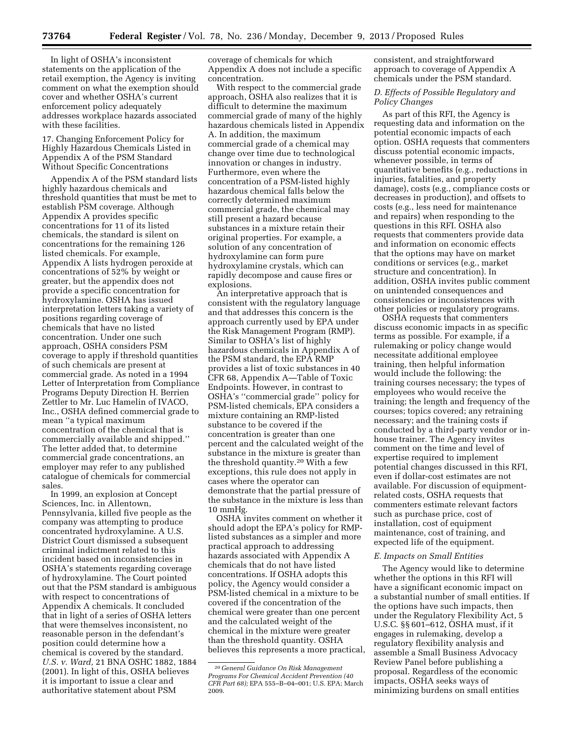In light of OSHA's inconsistent statements on the application of the retail exemption, the Agency is inviting comment on what the exemption should cover and whether OSHA's current enforcement policy adequately addresses workplace hazards associated with these facilities.

17. Changing Enforcement Policy for Highly Hazardous Chemicals Listed in Appendix A of the PSM Standard Without Specific Concentrations

Appendix A of the PSM standard lists highly hazardous chemicals and threshold quantities that must be met to establish PSM coverage. Although Appendix A provides specific concentrations for 11 of its listed chemicals, the standard is silent on concentrations for the remaining 126 listed chemicals. For example, Appendix A lists hydrogen peroxide at concentrations of 52% by weight or greater, but the appendix does not provide a specific concentration for hydroxylamine. OSHA has issued interpretation letters taking a variety of positions regarding coverage of chemicals that have no listed concentration. Under one such approach, OSHA considers PSM coverage to apply if threshold quantities of such chemicals are present at commercial grade. As noted in a 1994 Letter of Interpretation from Compliance Programs Deputy Direction H. Berrien Zettler to Mr. Luc Hamelin of IVACO, Inc., OSHA defined commercial grade to mean ''a typical maximum concentration of the chemical that is commercially available and shipped.'' The letter added that, to determine commercial grade concentrations, an employer may refer to any published catalogue of chemicals for commercial sales.

In 1999, an explosion at Concept Sciences, Inc. in Allentown, Pennsylvania, killed five people as the company was attempting to produce concentrated hydroxylamine. A U.S. District Court dismissed a subsequent criminal indictment related to this incident based on inconsistencies in OSHA's statements regarding coverage of hydroxylamine. The Court pointed out that the PSM standard is ambiguous with respect to concentrations of Appendix A chemicals. It concluded that in light of a series of OSHA letters that were themselves inconsistent, no reasonable person in the defendant's position could determine how a chemical is covered by the standard. *U.S. v. Ward,* 21 BNA OSHC 1882, 1884 (2001). In light of this, OSHA believes it is important to issue a clear and authoritative statement about PSM

coverage of chemicals for which Appendix A does not include a specific concentration.

With respect to the commercial grade approach, OSHA also realizes that it is difficult to determine the maximum commercial grade of many of the highly hazardous chemicals listed in Appendix A. In addition, the maximum commercial grade of a chemical may change over time due to technological innovation or changes in industry. Furthermore, even where the concentration of a PSM-listed highly hazardous chemical falls below the correctly determined maximum commercial grade, the chemical may still present a hazard because substances in a mixture retain their original properties. For example, a solution of any concentration of hydroxylamine can form pure hydroxylamine crystals, which can rapidly decompose and cause fires or explosions.

An interpretative approach that is consistent with the regulatory language and that addresses this concern is the approach currently used by EPA under the Risk Management Program (RMP). Similar to OSHA's list of highly hazardous chemicals in Appendix A of the PSM standard, the EPA RMP provides a list of toxic substances in 40 CFR 68, Appendix A—Table of Toxic Endpoints. However, in contrast to OSHA's ''commercial grade'' policy for PSM-listed chemicals, EPA considers a mixture containing an RMP-listed substance to be covered if the concentration is greater than one percent and the calculated weight of the substance in the mixture is greater than the threshold quantity.20 With a few exceptions, this rule does not apply in cases where the operator can demonstrate that the partial pressure of the substance in the mixture is less than 10 mmHg.

OSHA invites comment on whether it should adopt the EPA's policy for RMPlisted substances as a simpler and more practical approach to addressing hazards associated with Appendix A chemicals that do not have listed concentrations. If OSHA adopts this policy, the Agency would consider a PSM-listed chemical in a mixture to be covered if the concentration of the chemical were greater than one percent and the calculated weight of the chemical in the mixture were greater than the threshold quantity. OSHA believes this represents a more practical, consistent, and straightforward approach to coverage of Appendix A chemicals under the PSM standard.

*D. Effects of Possible Regulatory and Policy Changes* 

As part of this RFI, the Agency is requesting data and information on the potential economic impacts of each option. OSHA requests that commenters discuss potential economic impacts, whenever possible, in terms of quantitative benefits (e.g., reductions in injuries, fatalities, and property damage), costs (e.g., compliance costs or decreases in production), and offsets to costs (e.g., less need for maintenance and repairs) when responding to the questions in this RFI. OSHA also requests that commenters provide data and information on economic effects that the options may have on market conditions or services (e.g., market structure and concentration). In addition, OSHA invites public comment on unintended consequences and consistencies or inconsistences with other policies or regulatory programs.

OSHA requests that commenters discuss economic impacts in as specific terms as possible. For example, if a rulemaking or policy change would necessitate additional employee training, then helpful information would include the following: the training courses necessary; the types of employees who would receive the training; the length and frequency of the courses; topics covered; any retraining necessary; and the training costs if conducted by a third-party vendor or inhouse trainer. The Agency invites comment on the time and level of expertise required to implement potential changes discussed in this RFI, even if dollar-cost estimates are not available. For discussion of equipmentrelated costs, OSHA requests that commenters estimate relevant factors such as purchase price, cost of installation, cost of equipment maintenance, cost of training, and expected life of the equipment.

#### *E. Impacts on Small Entities*

The Agency would like to determine whether the options in this RFI will have a significant economic impact on a substantial number of small entities. If the options have such impacts, then under the Regulatory Flexibility Act, 5 U.S.C. §§ 601–612, OSHA must, if it engages in rulemaking, develop a regulatory flexibility analysis and assemble a Small Business Advocacy Review Panel before publishing a proposal. Regardless of the economic impacts, OSHA seeks ways of minimizing burdens on small entities

<sup>20</sup> *General Guidance On Risk Management Programs For Chemical Accident Prevention (40 CFR Part 68);* EPA 555–B–04–001; U.S. EPA; March 2009.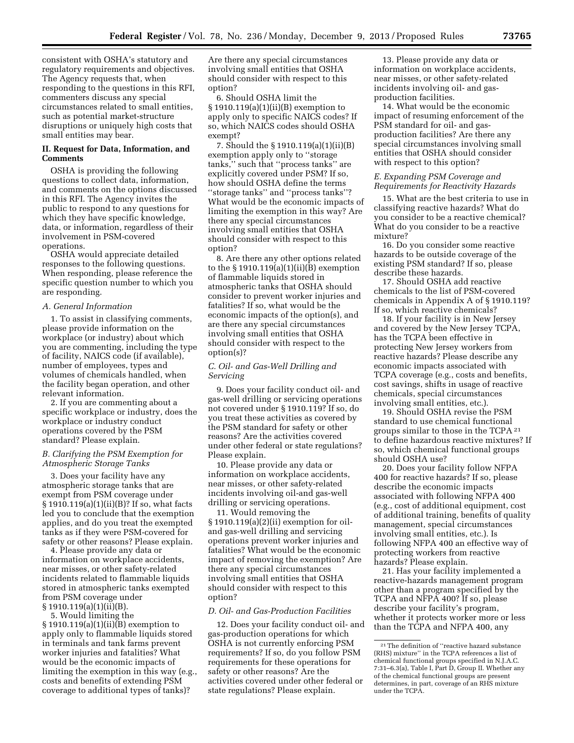consistent with OSHA's statutory and regulatory requirements and objectives. The Agency requests that, when responding to the questions in this RFI, commenters discuss any special circumstances related to small entities, such as potential market-structure disruptions or uniquely high costs that small entities may bear.

## **II. Request for Data, Information, and Comments**

OSHA is providing the following questions to collect data, information, and comments on the options discussed in this RFI. The Agency invites the public to respond to any questions for which they have specific knowledge, data, or information, regardless of their involvement in PSM-covered operations.

OSHA would appreciate detailed responses to the following questions. When responding, please reference the specific question number to which you are responding.

#### *A. General Information*

1. To assist in classifying comments, please provide information on the workplace (or industry) about which you are commenting, including the type of facility, NAICS code (if available), number of employees, types and volumes of chemicals handled, when the facility began operation, and other relevant information.

2. If you are commenting about a specific workplace or industry, does the workplace or industry conduct operations covered by the PSM standard? Please explain.

## *B. Clarifying the PSM Exemption for Atmospheric Storage Tanks*

3. Does your facility have any atmospheric storage tanks that are exempt from PSM coverage under § 1910.119(a)(1)(ii)(B)? If so, what facts led you to conclude that the exemption applies, and do you treat the exempted tanks as if they were PSM-covered for safety or other reasons? Please explain.

4. Please provide any data or information on workplace accidents, near misses, or other safety-related incidents related to flammable liquids stored in atmospheric tanks exempted from PSM coverage under  $\S 1910.119(a)(1)(ii)(B)$ .

5. Would limiting the

§ 1910.119(a)(1)(ii)(B) exemption to apply only to flammable liquids stored in terminals and tank farms prevent worker injuries and fatalities? What would be the economic impacts of limiting the exemption in this way (e.g., costs and benefits of extending PSM coverage to additional types of tanks)?

Are there any special circumstances involving small entities that OSHA should consider with respect to this option?

6. Should OSHA limit the § 1910.119(a)(1)(ii)(B) exemption to apply only to specific NAICS codes? If so, which NAICS codes should OSHA exempt?

7. Should the § 1910.119(a)(1)(ii)(B) exemption apply only to ''storage tanks,'' such that ''process tanks'' are explicitly covered under PSM? If so, how should OSHA define the terms ''storage tanks'' and ''process tanks''? What would be the economic impacts of limiting the exemption in this way? Are there any special circumstances involving small entities that OSHA should consider with respect to this option?

8. Are there any other options related to the § 1910.119(a)(1)(ii)(B) exemption of flammable liquids stored in atmospheric tanks that OSHA should consider to prevent worker injuries and fatalities? If so, what would be the economic impacts of the option(s), and are there any special circumstances involving small entities that OSHA should consider with respect to the option(s)?

### *C. Oil- and Gas-Well Drilling and Servicing*

9. Does your facility conduct oil- and gas-well drilling or servicing operations not covered under § 1910.119? If so, do you treat these activities as covered by the PSM standard for safety or other reasons? Are the activities covered under other federal or state regulations? Please explain.

10. Please provide any data or information on workplace accidents, near misses, or other safety-related incidents involving oil-and gas-well drilling or servicing operations.

11. Would removing the § 1910.119(a)(2)(ii) exemption for oiland gas-well drilling and servicing operations prevent worker injuries and fatalities? What would be the economic impact of removing the exemption? Are there any special circumstances involving small entities that OSHA should consider with respect to this option?

#### *D. Oil- and Gas-Production Facilities*

12. Does your facility conduct oil- and gas-production operations for which OSHA is not currently enforcing PSM requirements? If so, do you follow PSM requirements for these operations for safety or other reasons? Are the activities covered under other federal or state regulations? Please explain.

13. Please provide any data or information on workplace accidents, near misses, or other safety-related incidents involving oil- and gasproduction facilities.

14. What would be the economic impact of resuming enforcement of the PSM standard for oil- and gasproduction facilities? Are there any special circumstances involving small entities that OSHA should consider with respect to this option?

## *E. Expanding PSM Coverage and Requirements for Reactivity Hazards*

15. What are the best criteria to use in classifying reactive hazards? What do you consider to be a reactive chemical? What do you consider to be a reactive mixture?

16. Do you consider some reactive hazards to be outside coverage of the existing PSM standard? If so, please describe these hazards.

17. Should OSHA add reactive chemicals to the list of PSM-covered chemicals in Appendix A of § 1910.119? If so, which reactive chemicals?

18. If your facility is in New Jersey and covered by the New Jersey TCPA, has the TCPA been effective in protecting New Jersey workers from reactive hazards? Please describe any economic impacts associated with TCPA coverage (e.g., costs and benefits, cost savings, shifts in usage of reactive chemicals, special circumstances involving small entities, etc.).

19. Should OSHA revise the PSM standard to use chemical functional groups similar to those in the TCPA 21 to define hazardous reactive mixtures? If so, which chemical functional groups should OSHA use?

20. Does your facility follow NFPA 400 for reactive hazards? If so, please describe the economic impacts associated with following NFPA 400 (e.g., cost of additional equipment, cost of additional training, benefits of quality management, special circumstances involving small entities, etc.). Is following NFPA 400 an effective way of protecting workers from reactive hazards? Please explain.

21. Has your facility implemented a reactive-hazards management program other than a program specified by the TCPA and NFPA 400? If so, please describe your facility's program, whether it protects worker more or less than the TCPA and NFPA 400, any

<sup>21</sup>The definition of ''reactive hazard substance (RHS) mixture'' in the TCPA references a list of chemical functional groups specified in N.J.A.C. 7:31–6.3(a), Table I, Part D, Group II. Whether any of the chemical functional groups are present determines, in part, coverage of an RHS mixture under the TCPA.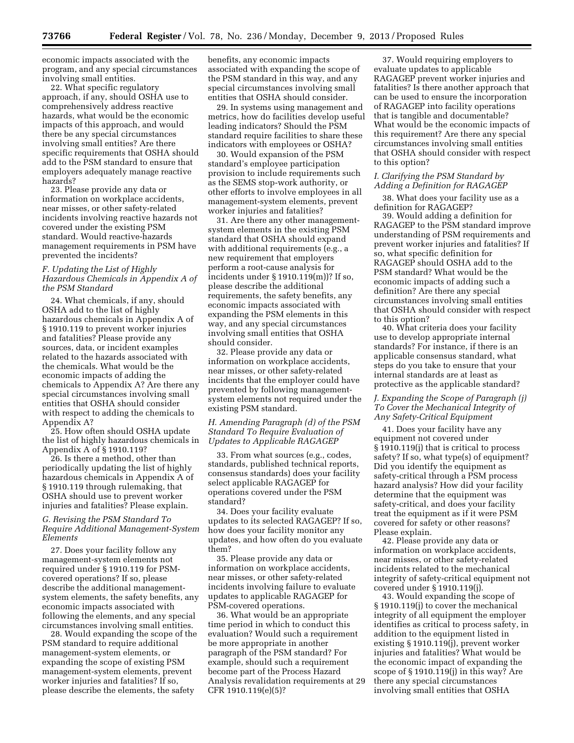economic impacts associated with the program, and any special circumstances involving small entities.

22. What specific regulatory approach, if any, should OSHA use to comprehensively address reactive hazards, what would be the economic impacts of this approach, and would there be any special circumstances involving small entities? Are there specific requirements that OSHA should add to the PSM standard to ensure that employers adequately manage reactive hazards?

23. Please provide any data or information on workplace accidents, near misses, or other safety-related incidents involving reactive hazards not covered under the existing PSM standard. Would reactive-hazards management requirements in PSM have prevented the incidents?

## *F. Updating the List of Highly Hazardous Chemicals in Appendix A of the PSM Standard*

24. What chemicals, if any, should OSHA add to the list of highly hazardous chemicals in Appendix A of § 1910.119 to prevent worker injuries and fatalities? Please provide any sources, data, or incident examples related to the hazards associated with the chemicals. What would be the economic impacts of adding the chemicals to Appendix A? Are there any special circumstances involving small entities that OSHA should consider with respect to adding the chemicals to Appendix A?

25. How often should OSHA update the list of highly hazardous chemicals in Appendix A of § 1910.119?

26. Is there a method, other than periodically updating the list of highly hazardous chemicals in Appendix A of § 1910.119 through rulemaking, that OSHA should use to prevent worker injuries and fatalities? Please explain.

## *G. Revising the PSM Standard To Require Additional Management-System Elements*

27. Does your facility follow any management-system elements not required under § 1910.119 for PSMcovered operations? If so, please describe the additional managementsystem elements, the safety benefits, any economic impacts associated with following the elements, and any special circumstances involving small entities.

28. Would expanding the scope of the PSM standard to require additional management-system elements, or expanding the scope of existing PSM management-system elements, prevent worker injuries and fatalities? If so, please describe the elements, the safety

benefits, any economic impacts associated with expanding the scope of the PSM standard in this way, and any special circumstances involving small entities that OSHA should consider.

29. In systems using management and metrics, how do facilities develop useful leading indicators? Should the PSM standard require facilities to share these indicators with employees or OSHA?

30. Would expansion of the PSM standard's employee participation provision to include requirements such as the SEMS stop-work authority, or other efforts to involve employees in all management-system elements, prevent worker injuries and fatalities?

31. Are there any other managementsystem elements in the existing PSM standard that OSHA should expand with additional requirements (e.g., a new requirement that employers perform a root-cause analysis for incidents under § 1910.119(m))? If so, please describe the additional requirements, the safety benefits, any economic impacts associated with expanding the PSM elements in this way, and any special circumstances involving small entities that OSHA should consider.

32. Please provide any data or information on workplace accidents, near misses, or other safety-related incidents that the employer could have prevented by following managementsystem elements not required under the existing PSM standard.

#### *H. Amending Paragraph (d) of the PSM Standard To Require Evaluation of Updates to Applicable RAGAGEP*

33. From what sources (e.g., codes, standards, published technical reports, consensus standards) does your facility select applicable RAGAGEP for operations covered under the PSM standard?

34. Does your facility evaluate updates to its selected RAGAGEP? If so, how does your facility monitor any updates, and how often do you evaluate them?

35. Please provide any data or information on workplace accidents, near misses, or other safety-related incidents involving failure to evaluate updates to applicable RAGAGEP for PSM-covered operations.

36. What would be an appropriate time period in which to conduct this evaluation? Would such a requirement be more appropriate in another paragraph of the PSM standard? For example, should such a requirement become part of the Process Hazard Analysis revalidation requirements at 29 CFR 1910.119(e)(5)?

37. Would requiring employers to evaluate updates to applicable RAGAGEP prevent worker injuries and fatalities? Is there another approach that can be used to ensure the incorporation of RAGAGEP into facility operations that is tangible and documentable? What would be the economic impacts of this requirement? Are there any special circumstances involving small entities that OSHA should consider with respect to this option?

## *I. Clarifying the PSM Standard by Adding a Definition for RAGAGEP*

38. What does your facility use as a definition for RAGAGEP?

39. Would adding a definition for RAGAGEP to the PSM standard improve understanding of PSM requirements and prevent worker injuries and fatalities? If so, what specific definition for RAGAGEP should OSHA add to the PSM standard? What would be the economic impacts of adding such a definition? Are there any special circumstances involving small entities that OSHA should consider with respect to this option?

40. What criteria does your facility use to develop appropriate internal standards? For instance, if there is an applicable consensus standard, what steps do you take to ensure that your internal standards are at least as protective as the applicable standard?

## *J. Expanding the Scope of Paragraph (j) To Cover the Mechanical Integrity of Any Safety-Critical Equipment*

41. Does your facility have any equipment not covered under § 1910.119(j) that is critical to process safety? If so, what type(s) of equipment? Did you identify the equipment as safety-critical through a PSM process hazard analysis? How did your facility determine that the equipment was safety-critical, and does your facility treat the equipment as if it were PSM covered for safety or other reasons? Please explain.

42. Please provide any data or information on workplace accidents, near misses, or other safety-related incidents related to the mechanical integrity of safety-critical equipment not covered under § 1910.119(j).

43. Would expanding the scope of § 1910.119(j) to cover the mechanical integrity of all equipment the employer identifies as critical to process safety, in addition to the equipment listed in existing § 1910.119(j), prevent worker injuries and fatalities? What would be the economic impact of expanding the scope of § 1910.119(j) in this way? Are there any special circumstances involving small entities that OSHA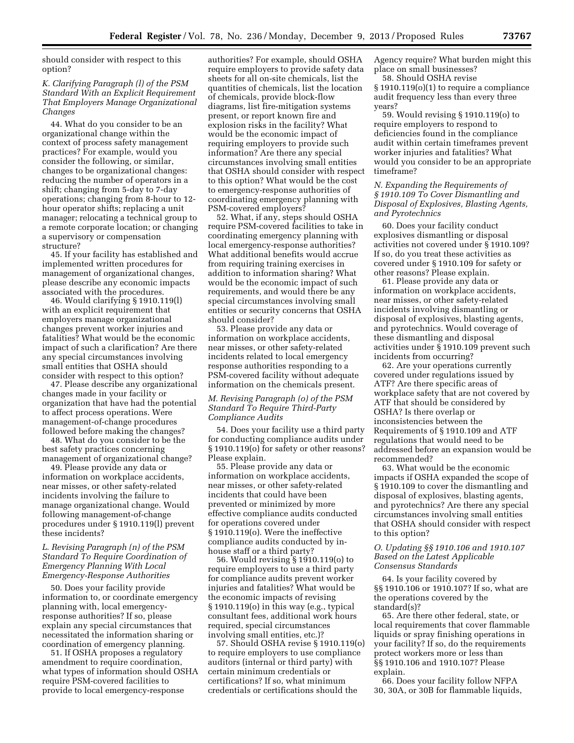should consider with respect to this option?

## *K. Clarifying Paragraph (l) of the PSM Standard With an Explicit Requirement That Employers Manage Organizational Changes*

44. What do you consider to be an organizational change within the context of process safety management practices? For example, would you consider the following, or similar, changes to be organizational changes: reducing the number of operators in a shift; changing from 5-day to 7-day operations; changing from 8-hour to 12 hour operator shifts; replacing a unit manager; relocating a technical group to a remote corporate location; or changing a supervisory or compensation structure?

45. If your facility has established and implemented written procedures for management of organizational changes, please describe any economic impacts associated with the procedures.

46. Would clarifying § 1910.119(l) with an explicit requirement that employers manage organizational changes prevent worker injuries and fatalities? What would be the economic impact of such a clarification? Are there any special circumstances involving small entities that OSHA should consider with respect to this option?

47. Please describe any organizational changes made in your facility or organization that have had the potential to affect process operations. Were management-of-change procedures followed before making the changes?

48. What do you consider to be the best safety practices concerning management of organizational change?

49. Please provide any data or information on workplace accidents, near misses, or other safety-related incidents involving the failure to manage organizational change. Would following management-of-change procedures under § 1910.119(l) prevent these incidents?

## *L. Revising Paragraph (n) of the PSM Standard To Require Coordination of Emergency Planning With Local Emergency-Response Authorities*

50. Does your facility provide information to, or coordinate emergency planning with, local emergencyresponse authorities? If so, please explain any special circumstances that necessitated the information sharing or coordination of emergency planning.

51. If OSHA proposes a regulatory amendment to require coordination, what types of information should OSHA require PSM-covered facilities to provide to local emergency-response

authorities? For example, should OSHA require employers to provide safety data sheets for all on-site chemicals, list the quantities of chemicals, list the location of chemicals, provide block-flow diagrams, list fire-mitigation systems present, or report known fire and explosion risks in the facility? What would be the economic impact of requiring employers to provide such information? Are there any special circumstances involving small entities that OSHA should consider with respect to this option? What would be the cost to emergency-response authorities of coordinating emergency planning with PSM-covered employers?

52. What, if any, steps should OSHA require PSM-covered facilities to take in coordinating emergency planning with local emergency-response authorities? What additional benefits would accrue from requiring training exercises in addition to information sharing? What would be the economic impact of such requirements, and would there be any special circumstances involving small entities or security concerns that OSHA should consider?

53. Please provide any data or information on workplace accidents, near misses, or other safety-related incidents related to local emergency response authorities responding to a PSM-covered facility without adequate information on the chemicals present.

### *M. Revising Paragraph (o) of the PSM Standard To Require Third-Party Compliance Audits*

54. Does your facility use a third party for conducting compliance audits under § 1910.119(o) for safety or other reasons? Please explain.

55. Please provide any data or information on workplace accidents, near misses, or other safety-related incidents that could have been prevented or minimized by more effective compliance audits conducted for operations covered under § 1910.119(o). Were the ineffective compliance audits conducted by inhouse staff or a third party?

56. Would revising § 1910.119(o) to require employers to use a third party for compliance audits prevent worker injuries and fatalities? What would be the economic impacts of revising § 1910.119(o) in this way (e.g., typical consultant fees, additional work hours required, special circumstances involving small entities, etc.)?

57. Should OSHA revise § 1910.119(o) to require employers to use compliance auditors (internal or third party) with certain minimum credentials or certifications? If so, what minimum credentials or certifications should the

Agency require? What burden might this place on small businesses?

58. Should OSHA revise § 1910.119(o)(1) to require a compliance audit frequency less than every three years?

59. Would revising § 1910.119(o) to require employers to respond to deficiencies found in the compliance audit within certain timeframes prevent worker injuries and fatalities? What would you consider to be an appropriate timeframe?

## *N. Expanding the Requirements of § 1910.109 To Cover Dismantling and Disposal of Explosives, Blasting Agents, and Pyrotechnics*

60. Does your facility conduct explosives dismantling or disposal activities not covered under § 1910.109? If so, do you treat these activities as covered under § 1910.109 for safety or other reasons? Please explain.

61. Please provide any data or information on workplace accidents, near misses, or other safety-related incidents involving dismantling or disposal of explosives, blasting agents, and pyrotechnics. Would coverage of these dismantling and disposal activities under § 1910.109 prevent such incidents from occurring?

62. Are your operations currently covered under regulations issued by ATF? Are there specific areas of workplace safety that are not covered by ATF that should be considered by OSHA? Is there overlap or inconsistencies between the Requirements of § 1910.109 and ATF regulations that would need to be addressed before an expansion would be recommended?

63. What would be the economic impacts if OSHA expanded the scope of § 1910.109 to cover the dismantling and disposal of explosives, blasting agents, and pyrotechnics? Are there any special circumstances involving small entities that OSHA should consider with respect to this option?

## *O. Updating §§ 1910.106 and 1910.107 Based on the Latest Applicable Consensus Standards*

64. Is your facility covered by §§ 1910.106 or 1910.107? If so, what are the operations covered by the standard(s)?

65. Are there other federal, state, or local requirements that cover flammable liquids or spray finishing operations in your facility? If so, do the requirements protect workers more or less than §§ 1910.106 and 1910.107? Please explain.

66. Does your facility follow NFPA 30, 30A, or 30B for flammable liquids,